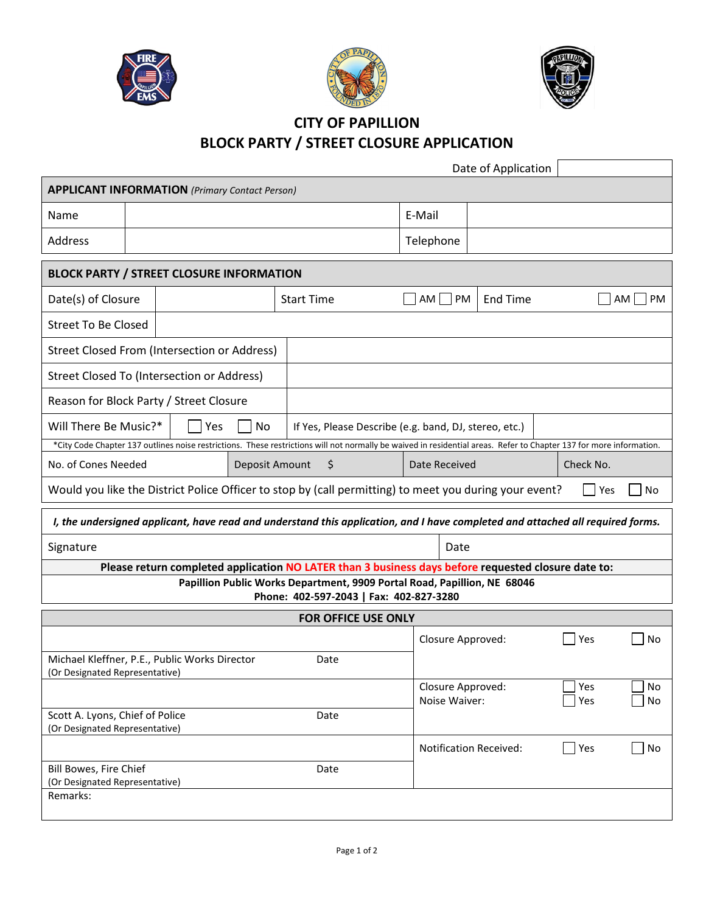





## **CITY OF PAPILLION BLOCK PARTY / STREET CLOSURE APPLICATION**

|                                                                                                                                                                     | Date of Application                                                                |  |  |
|---------------------------------------------------------------------------------------------------------------------------------------------------------------------|------------------------------------------------------------------------------------|--|--|
| <b>APPLICANT INFORMATION</b> (Primary Contact Person)                                                                                                               |                                                                                    |  |  |
| Name                                                                                                                                                                | E-Mail                                                                             |  |  |
| Address                                                                                                                                                             | Telephone                                                                          |  |  |
| <b>BLOCK PARTY / STREET CLOSURE INFORMATION</b>                                                                                                                     |                                                                                    |  |  |
| Date(s) of Closure<br><b>Start Time</b>                                                                                                                             | $AM$ PM<br>AM  <br>$\blacksquare$ PM<br>End Time                                   |  |  |
| <b>Street To Be Closed</b>                                                                                                                                          |                                                                                    |  |  |
| Street Closed From (Intersection or Address)                                                                                                                        |                                                                                    |  |  |
| Street Closed To (Intersection or Address)                                                                                                                          |                                                                                    |  |  |
| Reason for Block Party / Street Closure                                                                                                                             |                                                                                    |  |  |
| Will There Be Music?*<br>No<br>Yes                                                                                                                                  | If Yes, Please Describe (e.g. band, DJ, stereo, etc.)                              |  |  |
| *City Code Chapter 137 outlines noise restrictions. These restrictions will not normally be waived in residential areas. Refer to Chapter 137 for more information. |                                                                                    |  |  |
| No. of Cones Needed<br>Deposit Amount<br>\$                                                                                                                         | Check No.<br>Date Received                                                         |  |  |
| Would you like the District Police Officer to stop by (call permitting) to meet you during your event?<br>Yes<br>No                                                 |                                                                                    |  |  |
| I, the undersigned applicant, have read and understand this application, and I have completed and attached all required forms.                                      |                                                                                    |  |  |
| Signature                                                                                                                                                           | Date                                                                               |  |  |
| Please return completed application NO LATER than 3 business days before requested closure date to:                                                                 |                                                                                    |  |  |
| Papillion Public Works Department, 9909 Portal Road, Papillion, NE 68046<br>Phone: 402-597-2043   Fax: 402-827-3280                                                 |                                                                                    |  |  |
| <b>FOR OFFICE USE ONLY</b>                                                                                                                                          |                                                                                    |  |  |
|                                                                                                                                                                     | No<br>Closure Approved:<br>Yes                                                     |  |  |
| Michael Kleffner, P.E., Public Works Director<br>Date<br>(Or Designated Representative)                                                                             |                                                                                    |  |  |
|                                                                                                                                                                     | Yes<br>Closure Approved:<br>No<br>Noise Waiver:<br>Yes<br>No                       |  |  |
| Scott A. Lyons, Chief of Police<br>Date<br>(Or Designated Representative)                                                                                           |                                                                                    |  |  |
|                                                                                                                                                                     | $\blacksquare$ Yes<br>$\overline{\phantom{a}}$ No<br><b>Notification Received:</b> |  |  |
| Bill Bowes, Fire Chief<br>Date<br>(Or Designated Representative)                                                                                                    |                                                                                    |  |  |
| Remarks:                                                                                                                                                            |                                                                                    |  |  |